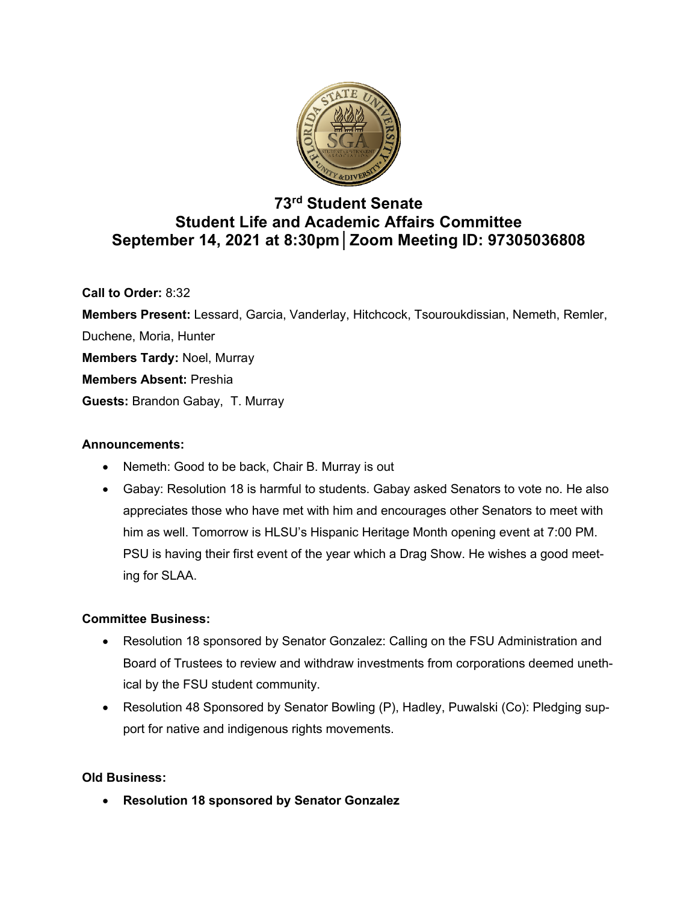

# **73rd Student Senate Student Life and Academic Affairs Committee September 14, 2021 at 8:30pm│Zoom Meeting ID: 97305036808**

**Call to Order:** 8:32

**Members Present:** Lessard, Garcia, Vanderlay, Hitchcock, Tsouroukdissian, Nemeth, Remler, Duchene, Moria, Hunter **Members Tardy:** Noel, Murray **Members Absent:** Preshia **Guests:** Brandon Gabay, T. Murray

## **Announcements:**

- Nemeth: Good to be back, Chair B. Murray is out
- Gabay: Resolution 18 is harmful to students. Gabay asked Senators to vote no. He also appreciates those who have met with him and encourages other Senators to meet with him as well. Tomorrow is HLSU's Hispanic Heritage Month opening event at 7:00 PM. PSU is having their first event of the year which a Drag Show. He wishes a good meeting for SLAA.

## **Committee Business:**

- Resolution 18 sponsored by Senator Gonzalez: Calling on the FSU Administration and Board of Trustees to review and withdraw investments from corporations deemed unethical by the FSU student community.
- Resolution 48 Sponsored by Senator Bowling (P), Hadley, Puwalski (Co): Pledging support for native and indigenous rights movements.

## **Old Business:**

• **Resolution 18 sponsored by Senator Gonzalez**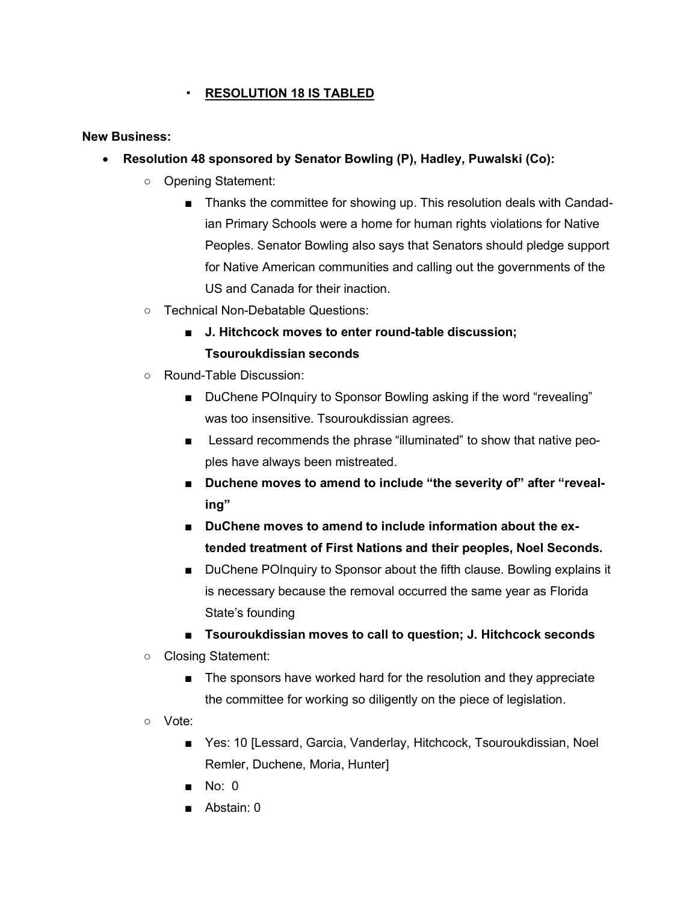# ▪ **RESOLUTION 18 IS TABLED**

### **New Business:**

- **Resolution 48 sponsored by Senator Bowling (P), Hadley, Puwalski (Co):**
	- Opening Statement:
		- Thanks the committee for showing up. This resolution deals with Candadian Primary Schools were a home for human rights violations for Native Peoples. Senator Bowling also says that Senators should pledge support for Native American communities and calling out the governments of the US and Canada for their inaction.
	- Technical Non-Debatable Questions:
		- **J. Hitchcock moves to enter round-table discussion; Tsouroukdissian seconds**
	- Round-Table Discussion:
		- DuChene POInquiry to Sponsor Bowling asking if the word "revealing" was too insensitive. Tsouroukdissian agrees.
		- Lessard recommends the phrase "illuminated" to show that native peoples have always been mistreated.
		- **Duchene moves to amend to include "the severity of" after "revealing"**
		- **DuChene moves to amend to include information about the extended treatment of First Nations and their peoples, Noel Seconds.**
		- DuChene POInquiry to Sponsor about the fifth clause. Bowling explains it is necessary because the removal occurred the same year as Florida State's founding
		- **Tsouroukdissian moves to call to question; J. Hitchcock seconds**
	- Closing Statement:
		- The sponsors have worked hard for the resolution and they appreciate the committee for working so diligently on the piece of legislation.
	- Vote:
		- Yes: 10 [Lessard, Garcia, Vanderlay, Hitchcock, Tsouroukdissian, Noel Remler, Duchene, Moria, Hunter]
		- No: 0
		- Abstain: 0